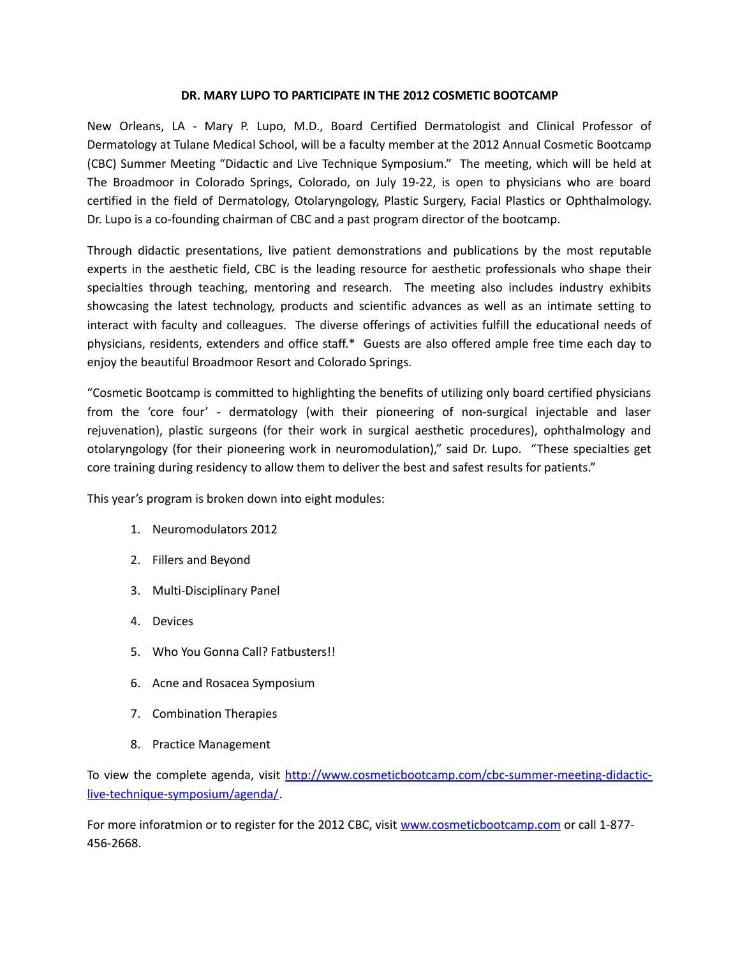## **DR. MARY LUPO TO PARTICIPATE IN THE 2012 COSMETIC BOOTCAMP**

New Orleans, LA - Mary P. Lupo, M.D., Board Certified Dermatologist and Clinical Professor of Dermatology at Tulane Medical School, will be a faculty member at the 2012 Annual Cosmetic Bootcamp (CBC) Summer Meeting "Didactic and Live Technique Symposium." The meeting, which will be held at The Broadmoor in Colorado Springs, Colorado, on July 19-22, is open to physicians who are board certified in the field of Dermatology, Otolaryngology, Plastic Surgery, Facial Plastics or Ophthalmology. Dr. Lupo is a co-founding chairman of CBC and a past program director of the bootcamp.

Through didactic presentations, live patient demonstrations and publications by the most reputable experts in the aesthetic field, CBC is the leading resource for aesthetic professionals who shape their specialties through teaching, mentoring and research. The meeting also includes industry exhibits showcasing the latest technology, products and scientific advances as well as an intimate setting to interact with faculty and colleagues. The diverse offerings of activities fulfill the educational needs of physicians, residents, extenders and office staff.\* Guests are also offered ample free time each day to enjoy the beautiful Broadmoor Resort and Colorado Springs.

"Cosmetic Bootcamp is committed to highlighting the benefits of utilizing only board certified physicians from the 'core four' - dermatology (with their pioneering of non-surgical injectable and laser rejuvenation), plastic surgeons (for their work in surgical aesthetic procedures), ophthalmology and otolaryngology (for their pioneering work in neuromodulation)," said Dr. Lupo. "These specialties get core training during residency to allow them to deliver the best and safest results for patients."

This year's program is broken down into eight modules:

- 1. Neuromodulators 2012
- 2. Fillers and Beyond
- 3. Multi‐Disciplinary Panel
- 4. Devices
- 5. Who You Gonna Call? Fatbusters!!
- 6. Acne and Rosacea Symposium
- 7. Combination Therapies
- 8. Practice Management

To view the complete agenda, visit [http://www.cosmeticbootcamp.com/cbc-summer-meeting-didactic](http://www.cosmeticbootcamp.com/cbc-summer-meeting-didactic-live-technique-symposium/agenda/)[live-technique-symposium/agenda/.](http://www.cosmeticbootcamp.com/cbc-summer-meeting-didactic-live-technique-symposium/agenda/)

For more inforatmion or to register for the 2012 CBC, visit [www.cosmeticbootcamp.com](http://www.cosmeticbootcamp.com/) or call 1-877-456-2668.